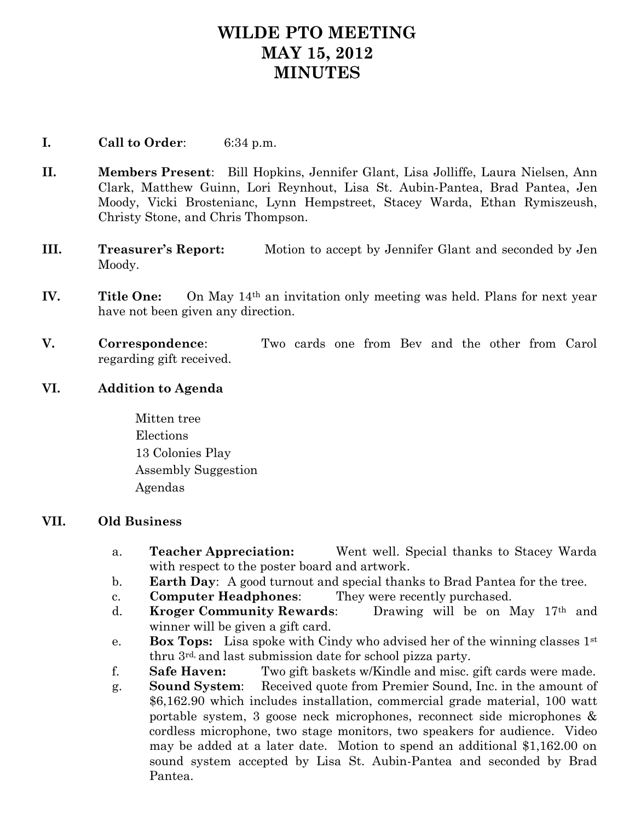## **WILDE PTO MEETING MAY 15, 2012 MINUTES**

## **I. Call to Order**: 6:34 p.m.

- **II. Members Present**: Bill Hopkins, Jennifer Glant, Lisa Jolliffe, Laura Nielsen, Ann Clark, Matthew Guinn, Lori Reynhout, Lisa St. Aubin-Pantea, Brad Pantea, Jen Moody, Vicki Brostenianc, Lynn Hempstreet, Stacey Warda, Ethan Rymiszeush, Christy Stone, and Chris Thompson.
- **III. Treasurer's Report:** Motion to accept by Jennifer Glant and seconded by Jen Moody.
- **IV.** Title One: On May 14<sup>th</sup> an invitation only meeting was held. Plans for next year have not been given any direction.
- **V. Correspondence**: Two cards one from Bev and the other from Carol regarding gift received.
- **VI. Addition to Agenda**

Mitten tree Elections 13 Colonies Play Assembly Suggestion Agendas

## **VII. Old Business**

- a. **Teacher Appreciation:** Went well. Special thanks to Stacey Warda with respect to the poster board and artwork.
- b. **Earth Day**: A good turnout and special thanks to Brad Pantea for the tree.
- c. **Computer Headphones**: They were recently purchased.
- d. **Kroger Community Rewards**: Drawing will be on May 17th and winner will be given a gift card.
- e. **Box Tops:** Lisa spoke with Cindy who advised her of the winning classes 1st thru 3rd, and last submission date for school pizza party.
- f. **Safe Haven:** Two gift baskets w/Kindle and misc. gift cards were made.
- g. **Sound System**: Received quote from Premier Sound, Inc. in the amount of \$6,162.90 which includes installation, commercial grade material, 100 watt portable system, 3 goose neck microphones, reconnect side microphones & cordless microphone, two stage monitors, two speakers for audience. Video may be added at a later date. Motion to spend an additional \$1,162.00 on sound system accepted by Lisa St. Aubin-Pantea and seconded by Brad Pantea.